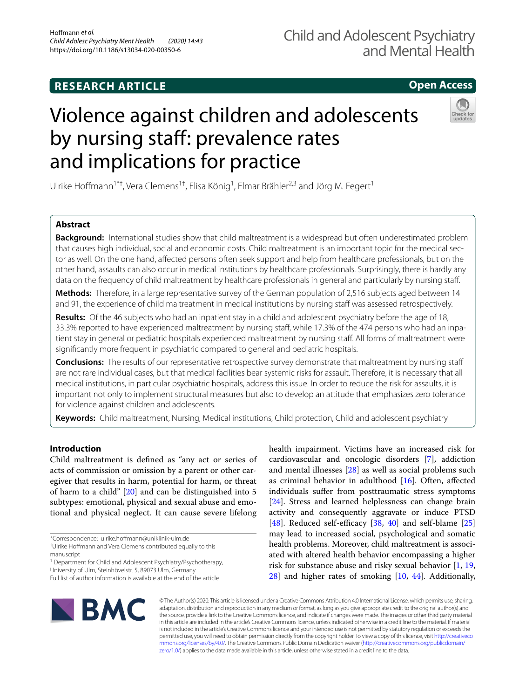# **RESEARCH ARTICLE**

## **Open Access**

# Violence against children and adolescents by nursing staff: prevalence rates and implications for practice



Ulrike Hoffmann<sup>1\*†</sup>, Vera Clemens<sup>1†</sup>, Elisa König<sup>1</sup>, Elmar Brähler<sup>2,3</sup> and Jörg M. Fegert<sup>1</sup>

## **Abstract**

**Background:** International studies show that child maltreatment is a widespread but often underestimated problem that causes high individual, social and economic costs. Child maltreatment is an important topic for the medical sector as well. On the one hand, afected persons often seek support and help from healthcare professionals, but on the other hand, assaults can also occur in medical institutions by healthcare professionals. Surprisingly, there is hardly any data on the frequency of child maltreatment by healthcare professionals in general and particularly by nursing staf.

**Methods:** Therefore, in a large representative survey of the German population of 2,516 subjects aged between 14 and 91, the experience of child maltreatment in medical institutions by nursing staff was assessed retrospectively.

**Results:** Of the 46 subjects who had an inpatient stay in a child and adolescent psychiatry before the age of 18, 33.3% reported to have experienced maltreatment by nursing staff, while 17.3% of the 474 persons who had an inpatient stay in general or pediatric hospitals experienced maltreatment by nursing staff. All forms of maltreatment were signifcantly more frequent in psychiatric compared to general and pediatric hospitals.

**Conclusions:** The results of our representative retrospective survey demonstrate that maltreatment by nursing staf are not rare individual cases, but that medical facilities bear systemic risks for assault. Therefore, it is necessary that all medical institutions, in particular psychiatric hospitals, address this issue. In order to reduce the risk for assaults, it is important not only to implement structural measures but also to develop an attitude that emphasizes zero tolerance for violence against children and adolescents.

**Keywords:** Child maltreatment, Nursing, Medical institutions, Child protection, Child and adolescent psychiatry

## **Introduction**

Child maltreatment is defned as "any act or series of acts of commission or omission by a parent or other caregiver that results in harm, potential for harm, or threat of harm to a child" [[20](#page-10-0)] and can be distinguished into 5 subtypes: emotional, physical and sexual abuse and emotional and physical neglect. It can cause severe lifelong

<sup>1</sup> Department for Child and Adolescent Psychiatry/Psychotherapy, University of Ulm, Steinhövelstr. 5, 89073 Ulm, Germany

health impairment. Victims have an increased risk for cardiovascular and oncologic disorders [[7\]](#page-9-0), addiction and mental illnesses [\[28\]](#page-10-1) as well as social problems such as criminal behavior in adulthood  $[16]$  $[16]$ . Often, affected individuals sufer from posttraumatic stress symptoms [[24\]](#page-10-3). Stress and learned helplessness can change brain activity and consequently aggravate or induce PTSD [[48\]](#page-11-0). Reduced self-efficacy  $[38, 40]$  $[38, 40]$  $[38, 40]$  $[38, 40]$  and self-blame [[25](#page-10-6)] may lead to increased social, psychological and somatic health problems. Moreover, child maltreatment is associated with altered health behavior encompassing a higher risk for substance abuse and risky sexual behavior [[1](#page-9-1), [19](#page-10-7), [28\]](#page-10-1) and higher rates of smoking [\[10](#page-9-2), [44\]](#page-10-8). Additionally,



© The Author(s) 2020. This article is licensed under a Creative Commons Attribution 4.0 International License, which permits use, sharing, adaptation, distribution and reproduction in any medium or format, as long as you give appropriate credit to the original author(s) and the source, provide a link to the Creative Commons licence, and indicate if changes were made. The images or other third party material in this article are included in the article's Creative Commons licence, unless indicated otherwise in a credit line to the material. If material is not included in the article's Creative Commons licence and your intended use is not permitted by statutory regulation or exceeds the permitted use, you will need to obtain permission directly from the copyright holder. To view a copy of this licence, visit [http://creativeco](http://creativecommons.org/licenses/by/4.0/) [mmons.org/licenses/by/4.0/.](http://creativecommons.org/licenses/by/4.0/) The Creative Commons Public Domain Dedication waiver ([http://creativecommons.org/publicdomain/](http://creativecommons.org/publicdomain/zero/1.0/) [zero/1.0/\)](http://creativecommons.org/publicdomain/zero/1.0/) applies to the data made available in this article, unless otherwise stated in a credit line to the data.

<sup>\*</sup>Correspondence: ulrike.hofmann@uniklinik‑ulm.de

<sup>†</sup> Ulrike Hofmann and Vera Clemens contributed equally to this manuscript

Full list of author information is available at the end of the article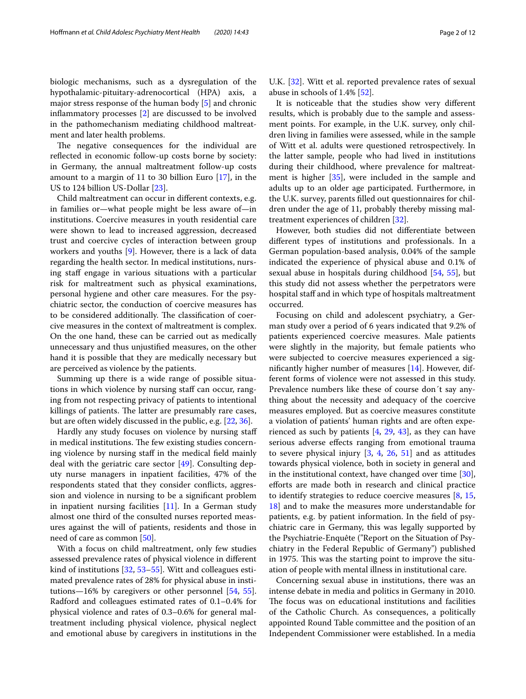biologic mechanisms, such as a dysregulation of the hypothalamic-pituitary-adrenocortical (HPA) axis, a major stress response of the human body [\[5\]](#page-9-3) and chronic infammatory processes [\[2](#page-9-4)] are discussed to be involved in the pathomechanism mediating childhood maltreatment and later health problems.

The negative consequences for the individual are reflected in economic follow-up costs borne by society: in Germany, the annual maltreatment follow-up costs amount to a margin of 11 to 30 billion Euro [[17\]](#page-10-9), in the US to 124 billion US-Dollar [[23\]](#page-10-10).

Child maltreatment can occur in diferent contexts, e.g. in families or—what people might be less aware of—in institutions. Coercive measures in youth residential care were shown to lead to increased aggression, decreased trust and coercive cycles of interaction between group workers and youths [[9\]](#page-9-5). However, there is a lack of data regarding the health sector. In medical institutions, nursing staf engage in various situations with a particular risk for maltreatment such as physical examinations, personal hygiene and other care measures. For the psychiatric sector, the conduction of coercive measures has to be considered additionally. The classification of coercive measures in the context of maltreatment is complex. On the one hand, these can be carried out as medically unnecessary and thus unjustifed measures, on the other hand it is possible that they are medically necessary but are perceived as violence by the patients.

Summing up there is a wide range of possible situations in which violence by nursing staff can occur, ranging from not respecting privacy of patients to intentional killings of patients. The latter are presumably rare cases, but are often widely discussed in the public, e.g. [[22](#page-10-11), [36\]](#page-10-12).

Hardly any study focuses on violence by nursing staf in medical institutions. The few existing studies concerning violence by nursing staff in the medical field mainly deal with the geriatric care sector [[49\]](#page-11-1). Consulting deputy nurse managers in inpatient facilities, 47% of the respondents stated that they consider conficts, aggression and violence in nursing to be a signifcant problem in inpatient nursing facilities [[11\]](#page-10-13). In a German study almost one third of the consulted nurses reported measures against the will of patients, residents and those in need of care as common [\[50](#page-11-2)].

With a focus on child maltreatment, only few studies assessed prevalence rates of physical violence in diferent kind of institutions [[32,](#page-10-14) [53](#page-11-3)[–55\]](#page-11-4). Witt and colleagues estimated prevalence rates of 28% for physical abuse in institutions—16% by caregivers or other personnel [\[54](#page-11-5), [55](#page-11-4)]. Radford and colleagues estimated rates of 0.1–0.4% for physical violence and rates of 0.3–0.6% for general maltreatment including physical violence, physical neglect and emotional abuse by caregivers in institutions in the U.K. [\[32](#page-10-14)]. Witt et al. reported prevalence rates of sexual abuse in schools of 1.4% [\[52](#page-11-6)].

It is noticeable that the studies show very diferent results, which is probably due to the sample and assessment points. For example, in the U.K. survey, only children living in families were assessed, while in the sample of Witt et al. adults were questioned retrospectively. In the latter sample, people who had lived in institutions during their childhood, where prevalence for maltreatment is higher [[35\]](#page-10-15), were included in the sample and adults up to an older age participated. Furthermore, in the U.K. survey, parents flled out questionnaires for children under the age of 11, probably thereby missing maltreatment experiences of children [\[32](#page-10-14)].

However, both studies did not diferentiate between diferent types of institutions and professionals. In a German population-based analysis, 0.04% of the sample indicated the experience of physical abuse and 0.1% of sexual abuse in hospitals during childhood [[54](#page-11-5), [55\]](#page-11-4), but this study did not assess whether the perpetrators were hospital staff and in which type of hospitals maltreatment occurred.

Focusing on child and adolescent psychiatry, a German study over a period of 6 years indicated that 9.2% of patients experienced coercive measures. Male patients were slightly in the majority, but female patients who were subjected to coercive measures experienced a signifcantly higher number of measures [[14\]](#page-10-16). However, different forms of violence were not assessed in this study. Prevalence numbers like these of course don´t say anything about the necessity and adequacy of the coercive measures employed. But as coercive measures constitute a violation of patients' human rights and are often experienced as such by patients [[4,](#page-9-6) [29](#page-10-17), [43\]](#page-10-18), as they can have serious adverse efects ranging from emotional trauma to severe physical injury [[3,](#page-9-7) [4,](#page-9-6) [26,](#page-10-19) [51](#page-11-7)] and as attitudes towards physical violence, both in society in general and in the institutional context, have changed over time  $[30]$  $[30]$ , eforts are made both in research and clinical practice to identify strategies to reduce coercive measures [\[8](#page-9-8), [15](#page-10-21), [18\]](#page-10-22) and to make the measures more understandable for patients, e.g. by patient information. In the feld of psychiatric care in Germany, this was legally supported by the Psychiatrie-Enquête ("Report on the Situation of Psychiatry in the Federal Republic of Germany") published in 1975. This was the starting point to improve the situation of people with mental illness in institutional care.

Concerning sexual abuse in institutions, there was an intense debate in media and politics in Germany in 2010. The focus was on educational institutions and facilities of the Catholic Church. As consequences, a politically appointed Round Table committee and the position of an Independent Commissioner were established. In a media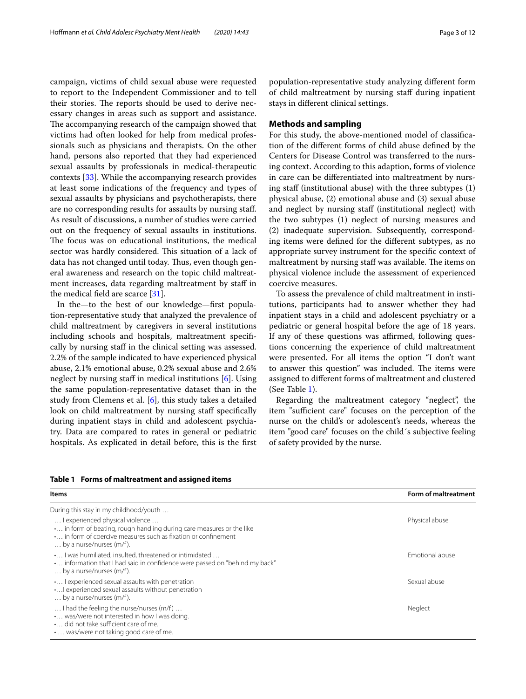campaign, victims of child sexual abuse were requested to report to the Independent Commissioner and to tell their stories. The reports should be used to derive necessary changes in areas such as support and assistance. The accompanying research of the campaign showed that victims had often looked for help from medical professionals such as physicians and therapists. On the other hand, persons also reported that they had experienced sexual assaults by professionals in medical-therapeutic contexts [[33](#page-10-23)]. While the accompanying research provides at least some indications of the frequency and types of sexual assaults by physicians and psychotherapists, there are no corresponding results for assaults by nursing staf. As result of discussions, a number of studies were carried out on the frequency of sexual assaults in institutions. The focus was on educational institutions, the medical sector was hardly considered. This situation of a lack of data has not changed until today. Thus, even though general awareness and research on the topic child maltreatment increases, data regarding maltreatment by staf in the medical feld are scarce [\[31](#page-10-24)].

In the—to the best of our knowledge—frst population-representative study that analyzed the prevalence of child maltreatment by caregivers in several institutions including schools and hospitals, maltreatment specifcally by nursing staff in the clinical setting was assessed. 2.2% of the sample indicated to have experienced physical abuse, 2.1% emotional abuse, 0.2% sexual abuse and 2.6% neglect by nursing staff in medical institutions  $[6]$  $[6]$ . Using the same population-representative dataset than in the study from Clemens et al. [[6\]](#page-9-9), this study takes a detailed look on child maltreatment by nursing staff specifically during inpatient stays in child and adolescent psychiatry. Data are compared to rates in general or pediatric hospitals. As explicated in detail before, this is the frst population-representative study analyzing diferent form of child maltreatment by nursing staf during inpatient

## **Methods and sampling**

stays in diferent clinical settings.

For this study, the above-mentioned model of classifcation of the diferent forms of child abuse defned by the Centers for Disease Control was transferred to the nursing context. According to this adaption, forms of violence in care can be diferentiated into maltreatment by nursing staf (institutional abuse) with the three subtypes (1) physical abuse, (2) emotional abuse and (3) sexual abuse and neglect by nursing staff (institutional neglect) with the two subtypes (1) neglect of nursing measures and (2) inadequate supervision. Subsequently, corresponding items were defned for the diferent subtypes, as no appropriate survey instrument for the specifc context of maltreatment by nursing staff was available. The items on physical violence include the assessment of experienced coercive measures.

To assess the prevalence of child maltreatment in institutions, participants had to answer whether they had inpatient stays in a child and adolescent psychiatry or a pediatric or general hospital before the age of 18 years. If any of these questions was affirmed, following questions concerning the experience of child maltreatment were presented. For all items the option "I don't want to answer this question" was included. The items were assigned to diferent forms of maltreatment and clustered (See Table [1\)](#page-2-0).

Regarding the maltreatment category "neglect", the item "sufficient care" focuses on the perception of the nurse on the child's or adolescent's needs, whereas the item "good care" focuses on the child´s subjective feeling of safety provided by the nurse.

| Items                                                                                                                                                                                              | Form of maltreatment |
|----------------------------------------------------------------------------------------------------------------------------------------------------------------------------------------------------|----------------------|
| During this stay in my childhood/youth                                                                                                                                                             |                      |
| I experienced physical violence<br>in form of beating, rough handling during care measures or the like<br>in form of coercive measures such as fixation or confinement<br>by a nurse/nurses (m/f). | Physical abuse       |
| I was humiliated, insulted, threatened or intimidated<br>information that I had said in confidence were passed on "behind my back"<br>by a nurse/nurses (m/f).                                     | Emotional abuse      |
| I experienced sexual assaults with penetration<br>l experienced sexual assaults without penetration<br>by a nurse/nurses (m/f).                                                                    | Sexual abuse         |
| I had the feeling the nurse/nurses (m/f)<br>was/were not interested in how I was doing.<br>did not take sufficient care of me.<br>was/were not taking good care of me.                             | Neglect              |

#### <span id="page-2-0"></span>**Table 1 Forms of maltreatment and assigned items**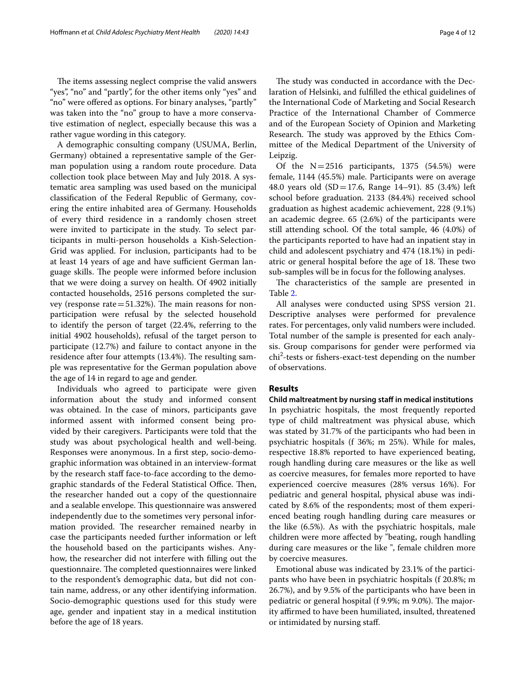The items assessing neglect comprise the valid answers "yes", "no" and "partly", for the other items only "yes" and "no" were offered as options. For binary analyses, "partly" was taken into the "no" group to have a more conservative estimation of neglect, especially because this was a rather vague wording in this category.

A demographic consulting company (USUMA, Berlin, Germany) obtained a representative sample of the German population using a random route procedure. Data collection took place between May and July 2018. A systematic area sampling was used based on the municipal classifcation of the Federal Republic of Germany, covering the entire inhabited area of Germany. Households of every third residence in a randomly chosen street were invited to participate in the study. To select participants in multi-person households a Kish-Selection-Grid was applied. For inclusion, participants had to be at least 14 years of age and have sufficient German language skills. The people were informed before inclusion that we were doing a survey on health. Of 4902 initially contacted households, 2516 persons completed the survey (response rate $=51.32%$ ). The main reasons for nonparticipation were refusal by the selected household to identify the person of target (22.4%, referring to the initial 4902 households), refusal of the target person to participate (12.7%) and failure to contact anyone in the residence after four attempts (13.4%). The resulting sample was representative for the German population above the age of 14 in regard to age and gender.

Individuals who agreed to participate were given information about the study and informed consent was obtained. In the case of minors, participants gave informed assent with informed consent being provided by their caregivers. Participants were told that the study was about psychological health and well-being. Responses were anonymous. In a frst step, socio-demographic information was obtained in an interview-format by the research staff face-to-face according to the demographic standards of the Federal Statistical Office. Then, the researcher handed out a copy of the questionnaire and a sealable envelope. This questionnaire was answered independently due to the sometimes very personal information provided. The researcher remained nearby in case the participants needed further information or left the household based on the participants wishes. Anyhow, the researcher did not interfere with flling out the questionnaire. The completed questionnaires were linked to the respondent's demographic data, but did not contain name, address, or any other identifying information. Socio-demographic questions used for this study were age, gender and inpatient stay in a medical institution before the age of 18 years.

The study was conducted in accordance with the Declaration of Helsinki, and fulflled the ethical guidelines of the International Code of Marketing and Social Research Practice of the International Chamber of Commerce and of the European Society of Opinion and Marketing Research. The study was approved by the Ethics Committee of the Medical Department of the University of Leipzig.

Of the  $N=2516$  participants, 1375 (54.5%) were female, 1144 (45.5%) male. Participants were on average 48.0 years old (SD=17.6, Range 14–91). 85 (3.4%) left school before graduation. 2133 (84.4%) received school graduation as highest academic achievement, 228 (9.1%) an academic degree. 65 (2.6%) of the participants were still attending school. Of the total sample, 46 (4.0%) of the participants reported to have had an inpatient stay in child and adolescent psychiatry and 474 (18.1%) in pediatric or general hospital before the age of 18. These two sub-samples will be in focus for the following analyses.

The characteristics of the sample are presented in Table [2](#page-4-0).

All analyses were conducted using SPSS version 21. Descriptive analyses were performed for prevalence rates. For percentages, only valid numbers were included. Total number of the sample is presented for each analysis. Group comparisons for gender were performed via chi2 -tests or fshers-exact-test depending on the number of observations.

## **Results**

**Child maltreatment by nursing staf in medical institutions** In psychiatric hospitals, the most frequently reported type of child maltreatment was physical abuse, which was stated by 31.7% of the participants who had been in psychiatric hospitals (f 36%; m 25%). While for males, respective 18.8% reported to have experienced beating, rough handling during care measures or the like as well as coercive measures, for females more reported to have experienced coercive measures (28% versus 16%). For pediatric and general hospital, physical abuse was indicated by 8.6% of the respondents; most of them experienced beating rough handling during care measures or the like (6.5%). As with the psychiatric hospitals, male children were more afected by "beating, rough handling during care measures or the like ", female children more by coercive measures.

Emotional abuse was indicated by 23.1% of the participants who have been in psychiatric hospitals (f 20.8%; m 26.7%), and by 9.5% of the participants who have been in pediatric or general hospital (f 9.9%; m 9.0%). The majority affirmed to have been humiliated, insulted, threatened or intimidated by nursing staf.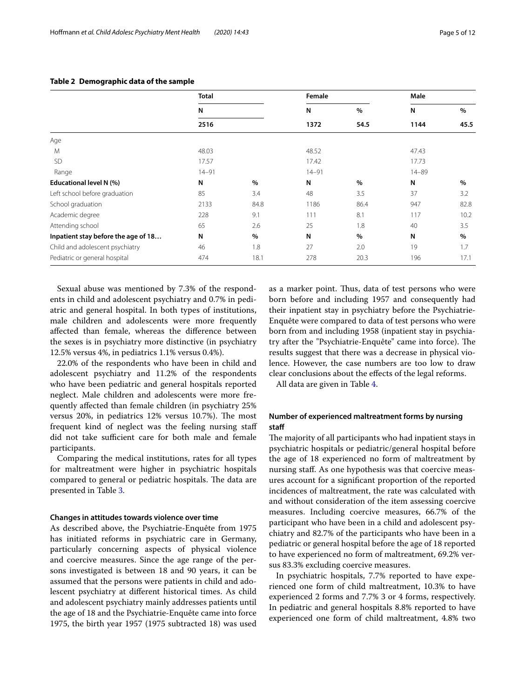|                                     | <b>Total</b> |      | Female    |      | Male      |      |
|-------------------------------------|--------------|------|-----------|------|-----------|------|
|                                     | N            |      | N         | $\%$ | N         | $\%$ |
|                                     | 2516         |      | 1372      | 54.5 | 1144      | 45.5 |
| Age                                 |              |      |           |      |           |      |
| M                                   | 48.03        |      | 48.52     |      | 47.43     |      |
| <b>SD</b>                           | 17.57        |      | 17.42     |      | 17.73     |      |
| Range                               | $14 - 91$    |      | $14 - 91$ |      | $14 - 89$ |      |
| Educational level N (%)             | N            | $\%$ | N         | $\%$ | N         | $\%$ |
| Left school before graduation       | 85           | 3.4  | 48        | 3.5  | 37        | 3.2  |
| School graduation                   | 2133         | 84.8 | 1186      | 86.4 | 947       | 82.8 |
| Academic degree                     | 228          | 9.1  | 111       | 8.1  | 117       | 10.2 |
| Attending school                    | 65           | 2.6  | 25        | 1.8  | 40        | 3.5  |
| Inpatient stay before the age of 18 | N            | $\%$ | N         | $\%$ | N         | $\%$ |
| Child and adolescent psychiatry     | 46           | 1.8  | 27        | 2.0  | 19        | 1.7  |
| Pediatric or general hospital       | 474          | 18.1 | 278       | 20.3 | 196       | 17.1 |

## <span id="page-4-0"></span>**Table 2 Demographic data of the sample**

Sexual abuse was mentioned by 7.3% of the respondents in child and adolescent psychiatry and 0.7% in pediatric and general hospital. In both types of institutions, male children and adolescents were more frequently afected than female, whereas the diference between the sexes is in psychiatry more distinctive (in psychiatry 12.5% versus 4%, in pediatrics 1.1% versus 0.4%).

22.0% of the respondents who have been in child and adolescent psychiatry and 11.2% of the respondents who have been pediatric and general hospitals reported neglect. Male children and adolescents were more frequently afected than female children (in psychiatry 25% versus 20%, in pediatrics 12% versus 10.7%). The most frequent kind of neglect was the feeling nursing staf did not take sufficient care for both male and female participants.

Comparing the medical institutions, rates for all types for maltreatment were higher in psychiatric hospitals compared to general or pediatric hospitals. The data are presented in Table [3](#page-5-0).

#### **Changes in attitudes towards violence over time**

As described above, the Psychiatrie-Enquête from 1975 has initiated reforms in psychiatric care in Germany, particularly concerning aspects of physical violence and coercive measures. Since the age range of the persons investigated is between 18 and 90 years, it can be assumed that the persons were patients in child and adolescent psychiatry at diferent historical times. As child and adolescent psychiatry mainly addresses patients until the age of 18 and the Psychiatrie-Enquête came into force 1975, the birth year 1957 (1975 subtracted 18) was used as a marker point. Thus, data of test persons who were born before and including 1957 and consequently had their inpatient stay in psychiatry before the Psychiatrie-Enquête were compared to data of test persons who were born from and including 1958 (inpatient stay in psychiatry after the "Psychiatrie-Enquête" came into force). The results suggest that there was a decrease in physical violence. However, the case numbers are too low to draw clear conclusions about the efects of the legal reforms.

All data are given in Table [4.](#page-6-0)

## **Number of experienced maltreatment forms by nursing staf**

The majority of all participants who had inpatient stays in psychiatric hospitals or pediatric/general hospital before the age of 18 experienced no form of maltreatment by nursing staf. As one hypothesis was that coercive measures account for a signifcant proportion of the reported incidences of maltreatment, the rate was calculated with and without consideration of the item assessing coercive measures. Including coercive measures, 66.7% of the participant who have been in a child and adolescent psychiatry and 82.7% of the participants who have been in a pediatric or general hospital before the age of 18 reported to have experienced no form of maltreatment, 69.2% versus 83.3% excluding coercive measures.

In psychiatric hospitals, 7.7% reported to have experienced one form of child maltreatment, 10.3% to have experienced 2 forms and 7.7% 3 or 4 forms, respectively. In pediatric and general hospitals 8.8% reported to have experienced one form of child maltreatment, 4.8% two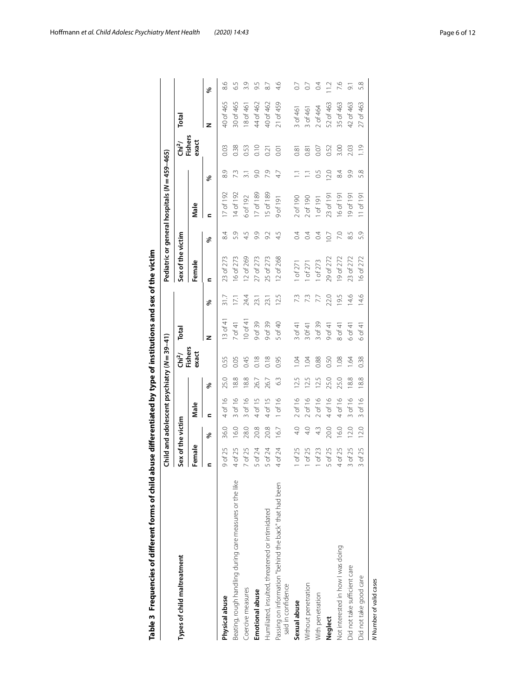<span id="page-5-0"></span>

|                           | C 200 C 200 C 200 C 200 C 200 C 200 C 200 C 200 C 200 C 200 C 200 C 200 C 200 C 200 C 200 C 200 C 200 C 200 C                                                                                                                        |
|---------------------------|--------------------------------------------------------------------------------------------------------------------------------------------------------------------------------------------------------------------------------------|
|                           |                                                                                                                                                                                                                                      |
| rent forms of child abuse | <b>Contact Contact Contact Contact Contact Contact Contact Contact Contact Contact Contact Contact Contact Contact Contact Contact Contact Contact Contact Contact Contact Contact Contact Contact Contact Contact Contact Conta</b> |
|                           |                                                                                                                                                                                                                                      |

| Table 3 Frequencies of different forms of child                              |                   |      | Child and adolescent psychiatry (N = 39-41) |      |                  |            |      | abuse differentiated by type of institutions and sex of the victim |                | Pediatric or general hospitals (N = 459-465) |                  |                  |           |                    |
|------------------------------------------------------------------------------|-------------------|------|---------------------------------------------|------|------------------|------------|------|--------------------------------------------------------------------|----------------|----------------------------------------------|------------------|------------------|-----------|--------------------|
| Types of child maltreatment                                                  | Sex of the victim |      |                                             |      | $Chi^2/$         | Total      |      | Sex of the victim                                                  |                |                                              |                  | $\text{Chi}^2$ / | Total     |                    |
|                                                                              | Female            |      | Male                                        |      | Fishers<br>exact |            |      | Female                                                             |                | Male                                         |                  | Fishers<br>exact |           |                    |
|                                                                              | $\mathbf{r}$      | ళ    | ⊆                                           | శ    |                  | z          | ℅    | ⊂                                                                  | శ              | c                                            | శ                |                  | z         | శ                  |
| Physical abuse                                                               | 9 of 25           | 36.0 | 4 of 16                                     | 25.0 | 0.55             | $13$ of 41 |      | 23 of 273                                                          | 84             | 17 of 192                                    | Q                | 0.03             | 40 of 465 | 8.6                |
| Beating, rough handling during care measures or the like                     | 4 of 25           | 16.0 | 3 of 16                                     | 18.8 | 0.05             | 7 of 41    | 17.1 | 16 of 273                                                          | 5.9            | 14 of 192                                    | 73               | 0.38             | 30 of 465 | 65                 |
| Coercive measures                                                            | 7 of 25           | 28.0 | 3 of 16                                     | 18.8 | 0.45             | $10$ of 41 | 24.4 | 12 of 269                                                          | 4.5            | 6 of 192                                     | $\overline{3}$ . | 0.53             | 18 of 461 |                    |
| Emotional abuse                                                              | 5 of 24           | 20.8 | 4 of 15                                     | 26.7 | 0.18             | 9 of 39    | 23.1 | 27 of 273                                                          | 9.9            | 17 of 189                                    | 9.0              | 0.10             | 44 of 462 | 9.5                |
| Humiliated, insulted, threatened or intimidated                              | 5 of 24           | 20.8 | 4 of 15                                     | 26.7 | 0.18             | $9$ of 39  | 23.1 | 25 of 273                                                          | 9.2            | 15 of 189                                    | 7.9              | 0.21             | 40 of 462 | $\overline{87}$    |
| Passing on information "behind the back" that had been<br>said in confidence | 4 of 24           | 16.7 | 1 of 16                                     | 63   | 0.95             | 5 of 40    | 12.5 | 12 of 268                                                          | 4.5            | $9$ of $191$                                 | 47               | 0.01             | 21 of 459 | 4.6                |
| Sexual abuse                                                                 | of 25             | 4.0  | 2 of 16                                     | 12.5 | 1.04             | $3$ of 41  |      | of 271                                                             | $\overline{0}$ | 2 <sub>0</sub> f190                          |                  | 0.81             | 3 of 461  | $\overline{0}$     |
| Without penetration                                                          | of 25             | 4.0  | $2$ of $16$                                 | 12.5 | 1.04             | 30f41      | 7.3  | $1$ of $271$                                                       | $\overline{0}$ | 2 of 190                                     |                  | 0.81             | 3 of 461  | $\overline{0}$     |
| With penetration                                                             | of 23             | 43   | $2$ of $16$                                 | 12.5 | 0.88             | 3 of 39    | 7.7  | of 273                                                             | 0.4            | 1 of 191                                     | S.O              | 0.07             | 2 of 464  | $\tilde{C}$        |
| Neglect                                                                      | 5 of 25           | 20.0 | 4 of 16                                     | 25.0 | 0.50             | $9$ of 41  | 22.0 | 29 of 272                                                          | 10.7           | 23 of 19 <sup>-</sup>                        | 12.0             | 0.52             | 52 of 463 |                    |
| Not interested in how I was doing                                            | 4 of 25           | 6.0  | 4 of 16                                     | 25.0 | 1.08             | $8$ of 41  | 19.5 | 19 of 272                                                          | 7.0            | 16 of 191                                    | $\frac{4}{3}$    | 3.00             | 35 of 463 | 7.6                |
| Did not take sufficient care                                                 | 3 of 25           | 12.0 | $3$ of $16$                                 | 18.8 | 1.64             | $6$ of 41  | 14,6 | 23 of 272                                                          | 85             | 19 of 19 <sup>-</sup>                        | 9.9              | 2.03             | 42 of 463 | $\overline{\circ}$ |
| Did not take good care                                                       | 3 of 25           | 12.0 | 3 of 16                                     | 18.8 | 0.38             | 6 of 41    | 14.6 | 16 of 272                                                          | 5.9            | 11 of 191                                    | 5.8              | 1.19             | 27 of 463 | 5.8                |
| N Number of valid cases                                                      |                   |      |                                             |      |                  |            |      |                                                                    |                |                                              |                  |                  |           |                    |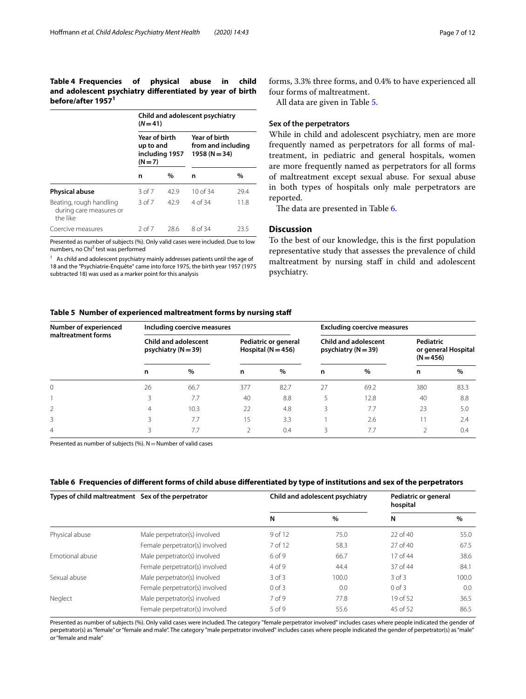## <span id="page-6-0"></span>**Table 4 Frequencies of physical abuse in child and adolescent psychiatry diferentiated by year of birth before/after 19571**

|                                                                | $(N = 41)$                            |                | Child and adolescent psychiatry                        |      |
|----------------------------------------------------------------|---------------------------------------|----------------|--------------------------------------------------------|------|
|                                                                | Year of birth<br>up to and<br>$(N=7)$ | including 1957 | Year of birth<br>from and including<br>$1958 (N = 34)$ |      |
|                                                                | n                                     | $\%$           | n                                                      | $\%$ |
| <b>Physical abuse</b>                                          | $3$ of $7$                            | 42.9           | 10 of 34                                               | 29.4 |
| Beating, rough handling<br>during care measures or<br>the like | $3$ of $7$                            | 42.9           | 4 of 34                                                | 11.8 |
| Coercive measures                                              | $2$ of $7$                            | 28.6           | 8 of 34                                                | 23.5 |

Presented as number of subjects (%). Only valid cases were included. Due to low numbers, no Chi<sup>2</sup> test was performed

 $1$  As child and adolescent psychiatry mainly addresses patients until the age of 18 and the "Psychiatrie-Enquête" came into force 1975, the birth year 1957 (1975 subtracted 18) was used as a marker point for this analysis

forms, 3.3% three forms, and 0.4% to have experienced all four forms of maltreatment.

All data are given in Table [5.](#page-6-1)

## **Sex of the perpetrators**

While in child and adolescent psychiatry, men are more frequently named as perpetrators for all forms of maltreatment, in pediatric and general hospitals, women are more frequently named as perpetrators for all forms of maltreatment except sexual abuse. For sexual abuse in both types of hospitals only male perpetrators are reported.

The data are presented in Table [6](#page-6-2).

## **Discussion**

To the best of our knowledge, this is the frst population representative study that assesses the prevalence of child maltreatment by nursing staf in child and adolescent psychiatry.

## <span id="page-6-1"></span>**Table 5 Number of experienced maltreatment forms by nursing staf**

| Number of experienced |    | Including coercive measures                     |     |                                                |                                                 | <b>Excluding coercive measures</b> |                                                 |      |
|-----------------------|----|-------------------------------------------------|-----|------------------------------------------------|-------------------------------------------------|------------------------------------|-------------------------------------------------|------|
| maltreatment forms    |    | Child and adolescent<br>psychiatry ( $N = 39$ ) |     | Pediatric or general<br>Hospital ( $N = 456$ ) | Child and adolescent<br>psychiatry ( $N = 39$ ) |                                    | Pediatric<br>or general Hospital<br>$(N = 456)$ |      |
|                       | n  | $\%$                                            | n   | $\%$                                           | n                                               | $\%$                               | n                                               | %    |
| 0                     | 26 | 66.7                                            | 377 | 82.7                                           | 27                                              | 69.2                               | 380                                             | 83.3 |
|                       |    | 7.7                                             | 40  | 8.8                                            | 5                                               | 12.8                               | 40                                              | 8.8  |
| 2                     | 4  | 10.3                                            | 22  | 4.8                                            | 3                                               | 7.7                                | 23                                              | 5.0  |
| 3                     |    | 7.7                                             | 15  | 3.3                                            |                                                 | 2.6                                |                                                 | 2.4  |
| 4                     |    | 7.7                                             |     | 0.4                                            | 3                                               | 7.7                                |                                                 | 0.4  |

Presented as number of subjects (%).  $N=$  Number of valid cases

## <span id="page-6-2"></span>**Table 6 Frequencies of diferent forms of child abuse diferentiated by type of institutions and sex of the perpetrators**

| Types of child maltreatment Sex of the perpetrator |                                |                   | Child and adolescent psychiatry | Pediatric or general<br>hospital |       |
|----------------------------------------------------|--------------------------------|-------------------|---------------------------------|----------------------------------|-------|
|                                                    |                                | N                 | $\%$                            | N                                | $\%$  |
| Physical abuse                                     | Male perpetrator(s) involved   | 9 of 12           | 75.0                            | $22$ of $40$                     | 55.0  |
|                                                    | Female perpetrator(s) involved | 7 of 12           | 58.3                            | 27 of 40                         | 67.5  |
| Emotional abuse                                    | Male perpetrator(s) involved   | 6 of 9            | 66.7                            | 17 of 44                         | 38.6  |
|                                                    | Female perpetrator(s) involved | 4 of 9            | 44.4                            | 37 of 44                         | 84.1  |
| Sexual abuse                                       | Male perpetrator(s) involved   | $3$ of $3$        | 100.0                           | $3$ of $3$                       | 100.0 |
|                                                    | Female perpetrator(s) involved | $0$ of $3$        | 0.0                             | $0$ of $3$                       | 0.0   |
| Neglect                                            | Male perpetrator(s) involved   | 7 <sub>of</sub> 9 | 77.8                            | 19 of 52                         | 36.5  |
|                                                    | Female perpetrator(s) involved | $5$ of 9          | 55.6                            | 45 of 52                         | 86.5  |

Presented as number of subjects (%). Only valid cases were included. The category "female perpetrator involved" includes cases where people indicated the gender of perpetrator(s) as "female" or "female and male". The category "male perpetrator involved" includes cases where people indicated the gender of perpetrator(s) as "male" or "female and male"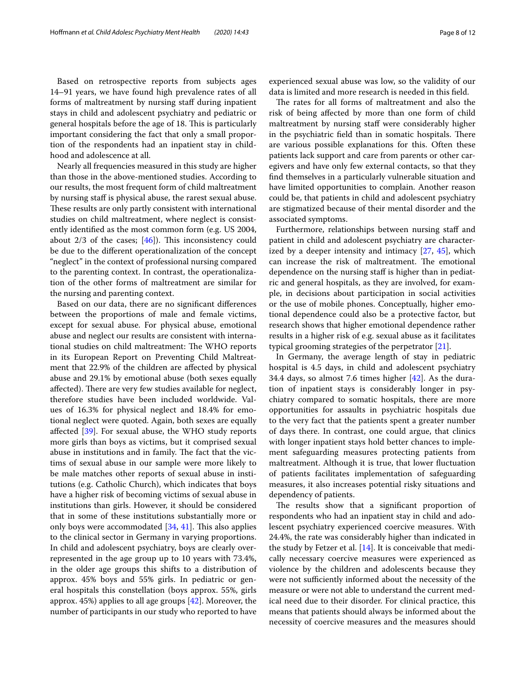Based on retrospective reports from subjects ages 14–91 years, we have found high prevalence rates of all forms of maltreatment by nursing staf during inpatient stays in child and adolescent psychiatry and pediatric or general hospitals before the age of 18. This is particularly important considering the fact that only a small proportion of the respondents had an inpatient stay in childhood and adolescence at all.

Nearly all frequencies measured in this study are higher than those in the above-mentioned studies. According to our results, the most frequent form of child maltreatment by nursing staf is physical abuse, the rarest sexual abuse. These results are only partly consistent with international studies on child maltreatment, where neglect is consistently identifed as the most common form (e.g. US 2004, about  $2/3$  of the cases;  $[46]$  $[46]$ ). This inconsistency could be due to the diferent operationalization of the concept "neglect" in the context of professional nursing compared to the parenting context. In contrast, the operationalization of the other forms of maltreatment are similar for the nursing and parenting context.

Based on our data, there are no signifcant diferences between the proportions of male and female victims, except for sexual abuse. For physical abuse, emotional abuse and neglect our results are consistent with international studies on child maltreatment: The WHO reports in its European Report on Preventing Child Maltreatment that 22.9% of the children are afected by physical abuse and 29.1% by emotional abuse (both sexes equally affected). There are very few studies available for neglect, therefore studies have been included worldwide. Values of 16.3% for physical neglect and 18.4% for emotional neglect were quoted. Again, both sexes are equally afected [[39\]](#page-10-25). For sexual abuse, the WHO study reports more girls than boys as victims, but it comprised sexual abuse in institutions and in family. The fact that the victims of sexual abuse in our sample were more likely to be male matches other reports of sexual abuse in institutions (e.g. Catholic Church), which indicates that boys have a higher risk of becoming victims of sexual abuse in institutions than girls. However, it should be considered that in some of these institutions substantially more or only boys were accommodated  $[34, 41]$  $[34, 41]$  $[34, 41]$  $[34, 41]$ . This also applies to the clinical sector in Germany in varying proportions. In child and adolescent psychiatry, boys are clearly overrepresented in the age group up to 10 years with 73.4%, in the older age groups this shifts to a distribution of approx. 45% boys and 55% girls. In pediatric or general hospitals this constellation (boys approx. 55%, girls approx. 45%) applies to all age groups [\[42](#page-10-28)]. Moreover, the number of participants in our study who reported to have experienced sexual abuse was low, so the validity of our data is limited and more research is needed in this feld.

The rates for all forms of maltreatment and also the risk of being afected by more than one form of child maltreatment by nursing staff were considerably higher in the psychiatric field than in somatic hospitals. There are various possible explanations for this. Often these patients lack support and care from parents or other caregivers and have only few external contacts, so that they fnd themselves in a particularly vulnerable situation and have limited opportunities to complain. Another reason could be, that patients in child and adolescent psychiatry are stigmatized because of their mental disorder and the associated symptoms.

Furthermore, relationships between nursing staff and patient in child and adolescent psychiatry are characterized by a deeper intensity and intimacy  $[27, 45]$  $[27, 45]$  $[27, 45]$ , which can increase the risk of maltreatment. The emotional dependence on the nursing staff is higher than in pediatric and general hospitals, as they are involved, for example, in decisions about participation in social activities or the use of mobile phones. Conceptually, higher emotional dependence could also be a protective factor, but research shows that higher emotional dependence rather results in a higher risk of e.g. sexual abuse as it facilitates typical grooming strategies of the perpetrator [[21\]](#page-10-31).

In Germany, the average length of stay in pediatric hospital is 4.5 days, in child and adolescent psychiatry 34.4 days, so almost 7.6 times higher [[42\]](#page-10-28). As the duration of inpatient stays is considerably longer in psychiatry compared to somatic hospitals, there are more opportunities for assaults in psychiatric hospitals due to the very fact that the patients spent a greater number of days there. In contrast, one could argue, that clinics with longer inpatient stays hold better chances to implement safeguarding measures protecting patients from maltreatment. Although it is true, that lower fuctuation of patients facilitates implementation of safeguarding measures, it also increases potential risky situations and dependency of patients.

The results show that a significant proportion of respondents who had an inpatient stay in child and adolescent psychiatry experienced coercive measures. With 24.4%, the rate was considerably higher than indicated in the study by Fetzer et al. [[14\]](#page-10-16). It is conceivable that medically necessary coercive measures were experienced as violence by the children and adolescents because they were not sufficiently informed about the necessity of the measure or were not able to understand the current medical need due to their disorder. For clinical practice, this means that patients should always be informed about the necessity of coercive measures and the measures should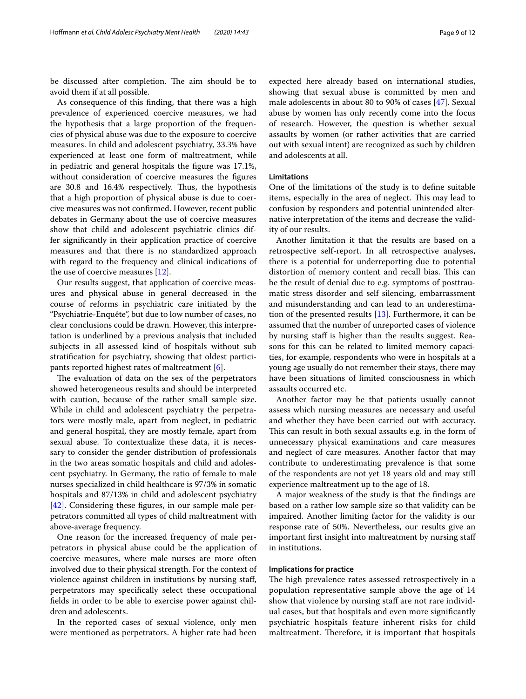be discussed after completion. The aim should be to avoid them if at all possible.

As consequence of this fnding, that there was a high prevalence of experienced coercive measures, we had the hypothesis that a large proportion of the frequencies of physical abuse was due to the exposure to coercive measures. In child and adolescent psychiatry, 33.3% have experienced at least one form of maltreatment, while in pediatric and general hospitals the fgure was 17.1%, without consideration of coercive measures the fgures are 30.8 and 16.4% respectively. Thus, the hypothesis that a high proportion of physical abuse is due to coercive measures was not confrmed. However, recent public debates in Germany about the use of coercive measures show that child and adolescent psychiatric clinics differ signifcantly in their application practice of coercive measures and that there is no standardized approach with regard to the frequency and clinical indications of the use of coercive measures [[12](#page-10-32)].

Our results suggest, that application of coercive measures and physical abuse in general decreased in the course of reforms in psychiatric care initiated by the "Psychiatrie-Enquête", but due to low number of cases, no clear conclusions could be drawn. However, this interpretation is underlined by a previous analysis that included subjects in all assessed kind of hospitals without sub stratifcation for psychiatry, showing that oldest participants reported highest rates of maltreatment [[6\]](#page-9-9).

The evaluation of data on the sex of the perpetrators showed heterogeneous results and should be interpreted with caution, because of the rather small sample size. While in child and adolescent psychiatry the perpetrators were mostly male, apart from neglect, in pediatric and general hospital, they are mostly female, apart from sexual abuse. To contextualize these data, it is necessary to consider the gender distribution of professionals in the two areas somatic hospitals and child and adolescent psychiatry. In Germany, the ratio of female to male nurses specialized in child healthcare is 97/3% in somatic hospitals and 87/13% in child and adolescent psychiatry [[42\]](#page-10-28). Considering these fgures, in our sample male perpetrators committed all types of child maltreatment with above-average frequency.

One reason for the increased frequency of male perpetrators in physical abuse could be the application of coercive measures, where male nurses are more often involved due to their physical strength. For the context of violence against children in institutions by nursing staf, perpetrators may specifcally select these occupational felds in order to be able to exercise power against children and adolescents.

In the reported cases of sexual violence, only men were mentioned as perpetrators. A higher rate had been expected here already based on international studies, showing that sexual abuse is committed by men and male adolescents in about 80 to 90% of cases [\[47\]](#page-11-9). Sexual abuse by women has only recently come into the focus of research. However, the question is whether sexual assaults by women (or rather activities that are carried out with sexual intent) are recognized as such by children and adolescents at all.

## **Limitations**

One of the limitations of the study is to defne suitable items, especially in the area of neglect. This may lead to confusion by responders and potential unintended alternative interpretation of the items and decrease the validity of our results.

Another limitation it that the results are based on a retrospective self-report. In all retrospective analyses, there is a potential for underreporting due to potential distortion of memory content and recall bias. This can be the result of denial due to e.g. symptoms of posttraumatic stress disorder and self silencing, embarrassment and misunderstanding and can lead to an underestimation of the presented results [\[13\]](#page-10-33). Furthermore, it can be assumed that the number of unreported cases of violence by nursing staff is higher than the results suggest. Reasons for this can be related to limited memory capacities, for example, respondents who were in hospitals at a young age usually do not remember their stays, there may have been situations of limited consciousness in which assaults occurred etc.

Another factor may be that patients usually cannot assess which nursing measures are necessary and useful and whether they have been carried out with accuracy. This can result in both sexual assaults e.g. in the form of unnecessary physical examinations and care measures and neglect of care measures. Another factor that may contribute to underestimating prevalence is that some of the respondents are not yet 18 years old and may still experience maltreatment up to the age of 18.

A major weakness of the study is that the fndings are based on a rather low sample size so that validity can be impaired. Another limiting factor for the validity is our response rate of 50%. Nevertheless, our results give an important frst insight into maltreatment by nursing staf in institutions.

## **Implications for practice**

The high prevalence rates assessed retrospectively in a population representative sample above the age of 14 show that violence by nursing staff are not rare individual cases, but that hospitals and even more signifcantly psychiatric hospitals feature inherent risks for child maltreatment. Therefore, it is important that hospitals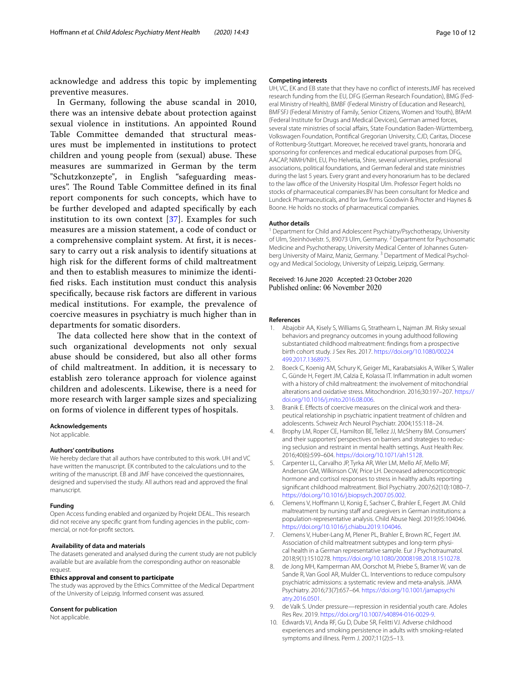acknowledge and address this topic by implementing preventive measures.

In Germany, following the abuse scandal in 2010, there was an intensive debate about protection against sexual violence in institutions. An appointed Round Table Committee demanded that structural measures must be implemented in institutions to protect children and young people from (sexual) abuse. These measures are summarized in German by the term "Schutzkonzepte", in English "safeguarding measures". The Round Table Committee defined in its final report components for such concepts, which have to be further developed and adapted specifcally by each institution to its own context [[37\]](#page-10-34). Examples for such measures are a mission statement, a code of conduct or a comprehensive complaint system. At frst, it is necessary to carry out a risk analysis to identify situations at high risk for the diferent forms of child maltreatment and then to establish measures to minimize the identifed risks. Each institution must conduct this analysis specifcally, because risk factors are diferent in various medical institutions. For example, the prevalence of coercive measures in psychiatry is much higher than in departments for somatic disorders.

The data collected here show that in the context of such organizational developments not only sexual abuse should be considered, but also all other forms of child maltreatment. In addition, it is necessary to establish zero tolerance approach for violence against children and adolescents. Likewise, there is a need for more research with larger sample sizes and specializing on forms of violence in diferent types of hospitals.

**Acknowledgements**

Not applicable.

#### **Authors' contributions**

We hereby declare that all authors have contributed to this work. UH and VC have written the manuscript. EK contributed to the calculations und to the writing of the manuscript. EB and JMF have conceived the questionnaires, designed and supervised the study. All authors read and approved the fnal manuscript.

#### **Funding**

Open Access funding enabled and organized by Projekt DEAL.. This research did not receive any specific grant from funding agencies in the public, commercial, or not-for-proft sectors.

#### **Availability of data and materials**

The datasets generated and analysed during the current study are not publicly available but are available from the corresponding author on reasonable request.

#### **Ethics approval and consent to participate**

The study was approved by the Ethics Committee of the Medical Department of the University of Leipzig. Informed consent was assured.

#### **Consent for publication**

Not applicable.

#### **Competing interests**

UH, VC, EK and EB state that they have no confict of interests.JMF has received research funding from the EU, DFG (German Research Foundation), BMG (Federal Ministry of Health), BMBF (Federal Ministry of Education and Research), BMFSFJ (Federal Ministry of Family, Senior Citizens, Women and Youth), BfArM (Federal Institute for Drugs and Medical Devices), German armed forces, several state ministries of social affairs, State Foundation Baden-Württemberg, Volkswagen Foundation, Pontifcal Gregorian University, CJD, Caritas, Diocese of Rottenburg-Stuttgart. Moreover, he received travel grants, honoraria and sponsoring for conferences and medical educational purposes from DFG, AACAP, NIMH/NIH, EU, Pro Helvetia, Shire, several universities, professional associations, political foundations, and German federal and state ministries during the last 5 years. Every grant and every honorarium has to be declared to the law office of the University Hospital Ulm. Professor Fegert holds no stocks of pharmaceutical companies.BV has been consultant for Medice and Lundeck Pharmaceuticals, and for law frms Goodwin & Procter and Haynes & Boone. He holds no stocks of pharmaceutical companies.

#### **Author details**

<sup>1</sup> Department for Child and Adolescent Psychiatry/Psychotherapy, University of Ulm, Steinhövelstr. 5, 89073 Ulm, Germany. <sup>2</sup> Department for Psychosomatic Medicine and Psychotherapy, University Medical Center of Johannes Gutenberg University of Mainz, Maniz, Germany.<sup>3</sup> Department of Medical Psychology and Medical Sociology, University of Leipzig, Leipzig, Germany.

### Received: 16 June 2020 Accepted: 23 October 2020 Published online: 06 November 2020

#### **References**

- <span id="page-9-1"></span>1. Abajobir AA, Kisely S, Williams G, Strathearn L, Najman JM. Risky sexual behaviors and pregnancy outcomes in young adulthood following substantiated childhood maltreatment: fndings from a prospective birth cohort study. J Sex Res. 2017. [https://doi.org/10.1080/00224](https://doi.org/10.1080/00224499.2017.1368975) [499.2017.1368975.](https://doi.org/10.1080/00224499.2017.1368975)
- <span id="page-9-4"></span>2. Boeck C, Koenig AM, Schury K, Geiger ML, Karabatsiakis A, Wilker S, Waller C, Günde H, Fegert JM, Calzia E, Kolassa IT. Infammation in adult women with a history of child maltreatment: the involvement of mitochondrial alterations and oxidative stress. Mitochondrion. 2016;30:197–207. [https://](https://doi.org/10.1016/j.mito.2016.08.006) [doi.org/10.1016/j.mito.2016.08.006.](https://doi.org/10.1016/j.mito.2016.08.006)
- <span id="page-9-7"></span>3. Branik E. Effects of coercive measures on the clinical work and therapeutical relationship in psychiatric inpatient treatment of children and adolescents. Schweiz Arch Neurol Psychiatr. 2004;155:118–24.
- <span id="page-9-6"></span>4. Brophy LM, Roper CE, Hamilton BE, Tellez JJ, McSherry BM. Consumers' and their supporters' perspectives on barriers and strategies to reducing seclusion and restraint in mental health settings. Aust Health Rev. 2016;40(6):599–604. <https://doi.org/10.1071/ah15128>.
- <span id="page-9-3"></span>5. Carpenter LL, Carvalho JP, Tyrka AR, Wier LM, Mello AF, Mello MF, Anderson GM, Wilkinson CW, Price LH. Decreased adrenocorticotropic hormone and cortisol responses to stress in healthy adults reporting signifcant childhood maltreatment. Biol Psychiatry. 2007;62(10):1080–7. [https://doi.org/10.1016/j.biopsych.2007.05.002.](https://doi.org/10.1016/j.biopsych.2007.05.002)
- <span id="page-9-9"></span>6. Clemens V, Hofmann U, Konig E, Sachser C, Brahler E, Fegert JM. Child maltreatment by nursing staff and caregivers in German institutions: a population-representative analysis. Child Abuse Negl. 2019;95:104046. <https://doi.org/10.1016/j.chiabu.2019.104046>.
- <span id="page-9-0"></span>7. Clemens V, Huber-Lang M, Plener PL, Brahler E, Brown RC, Fegert JM. Association of child maltreatment subtypes and long-term physical health in a German representative sample. Eur J Psychotraumatol. 2018;9(1):1510278. [https://doi.org/10.1080/20008198.2018.1510278.](https://doi.org/10.1080/20008198.2018.1510278)
- <span id="page-9-8"></span>8. de Jong MH, Kamperman AM, Oorschot M, Priebe S, Bramer W, van de Sande R, Van Gool AR, Mulder CL. Interventions to reduce compulsory psychiatric admissions: a systematic review and meta-analysis. JAMA Psychiatry. 2016;73(7):657–64. [https://doi.org/10.1001/jamapsychi](https://doi.org/10.1001/jamapsychiatry.2016.0501) [atry.2016.0501.](https://doi.org/10.1001/jamapsychiatry.2016.0501)
- <span id="page-9-5"></span>9. de Valk S. Under pressure—repression in residential youth care. Adoles Res Rev. 2019. [https://doi.org/10.1007/s40894-016-0029-9.](https://doi.org/10.1007/s40894-016-0029-9)
- <span id="page-9-2"></span>10. Edwards VJ, Anda RF, Gu D, Dube SR, Felitti VJ. Adverse childhood experiences and smoking persistence in adults with smoking-related symptoms and illness. Perm J. 2007;11(2):5–13.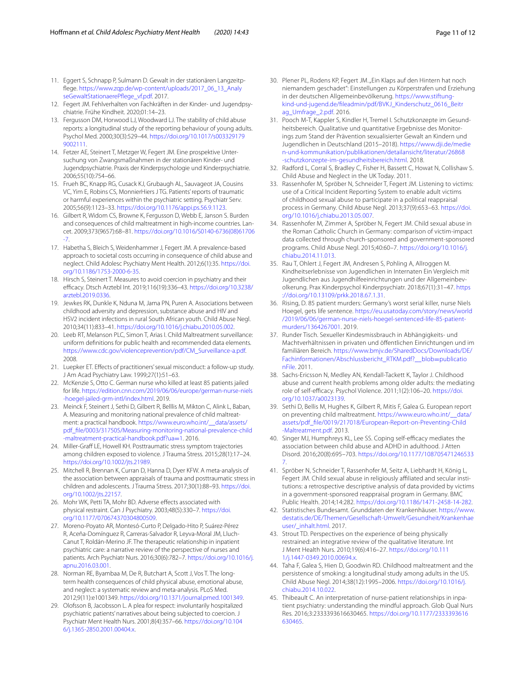- <span id="page-10-13"></span>11. Eggert S, Schnapp P, Sulmann D. Gewalt in der stationären Langzeitpflege. [https://www.zqp.de/wp-content/uploads/2017\\_06\\_13\\_Analy](https://www.zqp.de/wp-content/uploads/2017_06_13_AnalyseGewaltStationaerePflege_vf.pdf) [seGewaltStationaerePfege\\_vf.pdf](https://www.zqp.de/wp-content/uploads/2017_06_13_AnalyseGewaltStationaerePflege_vf.pdf). 2017.
- <span id="page-10-32"></span>12. Fegert JM. Fehlverhalten von Fachkräften in der Kinder- und Jugendpsychiatrie. Frühe Kindheit. 2020;01:14–23.
- <span id="page-10-33"></span>13. Fergusson DM, Horwood LJ, Woodward LJ. The stability of child abuse reports: a longitudinal study of the reporting behaviour of young adults. Psychol Med. 2000;30(3):529–44. [https://doi.org/10.1017/s003329179](https://doi.org/10.1017/s0033291799002111) [9002111](https://doi.org/10.1017/s0033291799002111).
- <span id="page-10-16"></span>14. Fetzer AE, Steinert T, Metzger W, Fegert JM. Eine prospektive Untersuchung von Zwangsmaßnahmen in der stationären Kinder- und Jugendpsychiatrie. Praxis der Kinderpsychologie und Kinderpsychiatrie. 2006;55(10):754–66.
- <span id="page-10-21"></span>15. Frueh BC, Knapp RG, Cusack KJ, Grubaugh AL, Sauvageot JA, Cousins VC, Yim E, Robins CS, MonnierHiers J TG. Patients' reports of traumatic or harmful experiences within the psychiatric setting. Psychiatr Serv. 2005;56(9):1123–33. <https://doi.org/10.1176/appi.ps.56.9.1123>.
- <span id="page-10-2"></span>16. Gilbert R, Widom CS, Browne K, Fergusson D, Webb E, Janson S. Burden and consequences of child maltreatment in high-income countries. Lancet. 2009;373(9657):68–81. [https://doi.org/10.1016/S0140-6736\(08\)61706](https://doi.org/10.1016/S0140-6736(08)61706-7) [-7.](https://doi.org/10.1016/S0140-6736(08)61706-7)
- <span id="page-10-9"></span>17. Habetha S, Bleich S, Weidenhammer J, Fegert JM. A prevalence-based approach to societal costs occurring in consequence of child abuse and neglect. Child Adolesc Psychiatry Ment Health. 2012;6(1):35. [https://doi.](https://doi.org/10.1186/1753-2000-6-35) [org/10.1186/1753-2000-6-35](https://doi.org/10.1186/1753-2000-6-35).
- <span id="page-10-22"></span>18. Hirsch S, Steinert T. Measures to avoid coercion in psychiatry and their efcacy. Dtsch Arztebl Int. 2019;116(19):336–43. [https://doi.org/10.3238/](https://doi.org/10.3238/arztebl.2019.0336) [arztebl.2019.0336.](https://doi.org/10.3238/arztebl.2019.0336)
- <span id="page-10-7"></span>19. Jewkes RK, Dunkle K, Nduna M, Jama PN, Puren A. Associations between childhood adversity and depression, substance abuse and HIV and HSV2 incident infections in rural South African youth. Child Abuse Negl. 2010;34(11):833–41. <https://doi.org/10.1016/j.chiabu.2010.05.002>.
- <span id="page-10-0"></span>20. Leeb RT, Melanson PLC, Simon T, Arias I. Child Maltreatment surveillance: uniform defnitions for public health and recommended data elements. [https://www.cdc.gov/violenceprevention/pdf/CM\\_Surveillance-a.pdf.](https://www.cdc.gov/violenceprevention/pdf/CM_Surveillance-a.pdf) 2008.
- <span id="page-10-31"></span>21. Luepker ET. Efects of practitioners' sexual misconduct: a follow-up study. J Am Acad Psychiatry Law. 1999;27(1):51–63.
- <span id="page-10-11"></span>22. McKenzie S, Otto C. German nurse who killed at least 85 patients jailed for life. [https://edition.cnn.com/2019/06/06/europe/german-nurse-niels](https://edition.cnn.com/2019/06/06/europe/german-nurse-niels-hoegel-jailed-grm-intl/index.html) [-hoegel-jailed-grm-intl/index.html.](https://edition.cnn.com/2019/06/06/europe/german-nurse-niels-hoegel-jailed-grm-intl/index.html) 2019.
- <span id="page-10-10"></span>23. Meinck F, Steinert J, Sethi D, Gilbert R, Belllis M, Mikton C, Alink L, Baban, A. Measuring and monitoring national prevalence of child maltreatment: a practical handbook. [https://www.euro.who.int/\\_\\_data/assets/](http://www.euro.who.int/__data/assets/pdf_file/0003/317505/Measuring-monitoring-national-prevalence-child-maltreatment-practical-handbook.pdf?ua=1) [pdf\\_fle/0003/317505/Measuring-monitoring-national-prevalence-child](http://www.euro.who.int/__data/assets/pdf_file/0003/317505/Measuring-monitoring-national-prevalence-child-maltreatment-practical-handbook.pdf?ua=1) [-maltreatment-practical-handbook.pdf?ua](http://www.euro.who.int/__data/assets/pdf_file/0003/317505/Measuring-monitoring-national-prevalence-child-maltreatment-practical-handbook.pdf?ua=1)=1. 2016.
- <span id="page-10-3"></span>24. Miller-Graff LE, Howell KH. Posttraumatic stress symptom trajectories among children exposed to violence. J Trauma Stress. 2015;28(1):17–24. [https://doi.org/10.1002/jts.21989.](https://doi.org/10.1002/jts.21989)
- <span id="page-10-6"></span>25. Mitchell R, Brennan K, Curran D, Hanna D, Dyer KFW. A meta-analysis of the association between appraisals of trauma and posttraumatic stress in children and adolescents. J Trauma Stress. 2017;30(1):88–93. [https://doi.](https://doi.org/10.1002/jts.22157) [org/10.1002/jts.22157.](https://doi.org/10.1002/jts.22157)
- <span id="page-10-19"></span>26. Mohr WK, Petti TA, Mohr BD. Adverse effects associated with physical restraint. Can J Psychiatry. 2003;48(5):330–7. [https://doi.](https://doi.org/10.1177/070674370304800509) [org/10.1177/070674370304800509](https://doi.org/10.1177/070674370304800509).
- <span id="page-10-29"></span>27. Moreno-Poyato AR, Montesó-Curto P, Delgado-Hito P, Suárez-Pérez R, Aceña-Domínguez R, Carreras-Salvador R, Leyva-Moral JM, Lluch-Canut T, Roldán-Merino JF. The therapeutic relationship in inpatient psychiatric care: a narrative review of the perspective of nurses and patients. Arch Psychiatr Nurs. 2016;30(6):782–7. [https://doi.org/10.1016/j.](https://doi.org/10.1016/j.apnu.2016.03.001) [apnu.2016.03.001](https://doi.org/10.1016/j.apnu.2016.03.001).
- <span id="page-10-1"></span>28. Norman RE, Byambaa M, De R, Butchart A, Scott J, Vos T. The longterm health consequences of child physical abuse, emotional abuse, and neglect: a systematic review and meta-analysis. PLoS Med. 2012;9(11):e1001349. [https://doi.org/10.1371/journal.pmed.1001349.](https://doi.org/10.1371/journal.pmed.1001349)
- <span id="page-10-17"></span>29. Olofsson B, Jacobsson L. A plea for respect: involuntarily hospitalized psychiatric patients' narratives about being subjected to coercion. J Psychiatr Ment Health Nurs. 2001;8(4):357–66. [https://doi.org/10.104](https://doi.org/10.1046/j.1365-2850.2001.00404.x) [6/j.1365-2850.2001.00404.x](https://doi.org/10.1046/j.1365-2850.2001.00404.x).
- <span id="page-10-20"></span>30. Plener PL, Rodens KP, Fegert JM. "Ein Klaps auf den Hintern hat noch niemandem geschadet": Einstellungen zu Körperstrafen und Erziehung in der deutschen Allgemeinbevölkerung. [https://www.stiftung](https://www.stiftung-kind-und-jugend.de/fileadmin/pdf/BVKJ_Kinderschutz_0616_Beitrag_Umfrage_2.pdf)[kind-und-jugend.de/fleadmin/pdf/BVKJ\\_Kinderschutz\\_0616\\_Beitr](https://www.stiftung-kind-und-jugend.de/fileadmin/pdf/BVKJ_Kinderschutz_0616_Beitrag_Umfrage_2.pdf) [ag\\_Umfrage\\_2.pdf](https://www.stiftung-kind-und-jugend.de/fileadmin/pdf/BVKJ_Kinderschutz_0616_Beitrag_Umfrage_2.pdf). 2016.
- <span id="page-10-24"></span>31. Pooch M-T, Kappler S, Kindler H, Tremel I. Schutzkonzepte im Gesundheitsbereich. Qualitative und quantitative Ergebnisse des Monitorings zum Stand der Prävention sexualisierter Gewalt an Kindern und Jugendlichen in Deutschland (2015–2018). [https://www.dji.de/medie](https://www.dji.de/medien-und-kommunikation/publikationen/detailansicht/literatur/26868-schutzkonzepte-im-gesundheitsbereich.html) [n-und-kommunikation/publikationen/detailansicht/literatur/26868](https://www.dji.de/medien-und-kommunikation/publikationen/detailansicht/literatur/26868-schutzkonzepte-im-gesundheitsbereich.html) [-schutzkonzepte-im-gesundheitsbereich.html](https://www.dji.de/medien-und-kommunikation/publikationen/detailansicht/literatur/26868-schutzkonzepte-im-gesundheitsbereich.html). 2018.
- <span id="page-10-14"></span>32. Radford L, Corral S, Bradley C, Fisher H, Bassett C, Howat N, Collishaw S. Child Abuse and Neglect in the UK Today. 2011.
- <span id="page-10-23"></span>33. Rassenhofer M, Spröber N, Schneider T, Fegert JM. Listening to victims: use of a Critical Incident Reporting System to enable adult victims of childhood sexual abuse to participate in a political reappraisal process in Germany. Child Abuse Negl. 2013;37(9):653–63. [https://doi.](https://doi.org/10.1016/j.chiabu.2013.05.007) [org/10.1016/j.chiabu.2013.05.007.](https://doi.org/10.1016/j.chiabu.2013.05.007)
- <span id="page-10-26"></span>34. Rassenhofer M, Zimmer A, Spröber N, Fegert JM. Child sexual abuse in the Roman Catholic Church in Germany: comparison of victim-impact data collected through church-sponsored and government-sponsored programs. Child Abuse Negl. 2015;40:60–7. [https://doi.org/10.1016/j.](https://doi.org/10.1016/j.chiabu.2014.11.013) [chiabu.2014.11.013.](https://doi.org/10.1016/j.chiabu.2014.11.013)
- <span id="page-10-15"></span>35. Rau T, Ohlert J, Fegert JM, Andresen S, Pohling A, Allroggen M. Kindheitserlebnisse von Jugendlichen in Internaten Ein Vergleich mit Jugendlichen aus Jugendhilfeeinrichtungen und der Allgemeinbevolkerung. Prax Kinderpsychol Kinderpsychiatr. 2018;67(1):31–47. [https](https://doi.org/10.13109/prkk.2018.67.1.31) [://doi.org/10.13109/prkk.2018.67.1.31.](https://doi.org/10.13109/prkk.2018.67.1.31)
- <span id="page-10-12"></span>36. Rising, D. 85 patient murders: Germany's worst serial killer, nurse Niels Hoegel, gets life sentence. [https://eu.usatoday.com/story/news/world](https://eu.usatoday.com/story/news/world/2019/06/06/german-nurse-niels-hoegel-sentenced-life-85-patient-murders/1364267001) [/2019/06/06/german-nurse-niels-hoegel-sentenced-life-85-patient](https://eu.usatoday.com/story/news/world/2019/06/06/german-nurse-niels-hoegel-sentenced-life-85-patient-murders/1364267001)[murders/1364267001.](https://eu.usatoday.com/story/news/world/2019/06/06/german-nurse-niels-hoegel-sentenced-life-85-patient-murders/1364267001) 2019.
- <span id="page-10-34"></span>37. Runder Tisch. Sexueller Kindesmissbrauch in Abhängigkeits- und Machtverhältnissen in privaten und öfentlichen Einrichtungen und im familiären Bereich. [https://www.bmjv.de/SharedDocs/Downloads/DE/](https://www.bmjv.de/SharedDocs/Downloads/DE/Fachinformationen/Abschlussbericht_RTKM.pdf?__blob=publicationFile) [Fachinformationen/Abschlussbericht\\_RTKM.pdf?\\_\\_blob](https://www.bmjv.de/SharedDocs/Downloads/DE/Fachinformationen/Abschlussbericht_RTKM.pdf?__blob=publicationFile)=publicatio [nFile](https://www.bmjv.de/SharedDocs/Downloads/DE/Fachinformationen/Abschlussbericht_RTKM.pdf?__blob=publicationFile). 2011.
- <span id="page-10-4"></span>38. Sachs-Ericsson N, Medley AN, Kendall-Tackett K, Taylor J. Childhood abuse and current health problems among older adults: the mediating role of self-efficacy. Psychol Violence. 2011;1(2):106-20. [https://doi.](https://doi.org/10.1037/a0023139) [org/10.1037/a0023139.](https://doi.org/10.1037/a0023139)
- <span id="page-10-25"></span>39. Sethi D, Bellis M, Hughes K, Gilbert R, Mitis F, Galea G. European report on preventing child maltreatment. [https://www.euro.who.int/\\_\\_data/](http://www.euro.who.int/__data/assets/pdf_file/0019/217018/European-Report-on-Preventing-Child-Maltreatment.pdf) [assets/pdf\\_fle/0019/217018/European-Report-on-Preventing-Child](http://www.euro.who.int/__data/assets/pdf_file/0019/217018/European-Report-on-Preventing-Child-Maltreatment.pdf) [-Maltreatment.pdf.](http://www.euro.who.int/__data/assets/pdf_file/0019/217018/European-Report-on-Preventing-Child-Maltreatment.pdf) 2013.
- <span id="page-10-5"></span>40. Singer MJ, Humphreys KL, Lee SS. Coping self-efficacy mediates the association between child abuse and ADHD in adulthood. J Atten Disord. 2016;20(8):695–703. [https://doi.org/10.1177/108705471246533](https://doi.org/10.1177/1087054712465337) [7](https://doi.org/10.1177/1087054712465337).
- <span id="page-10-27"></span>41. Spröber N, Schneider T, Rassenhofer M, Seitz A, Liebhardt H, König L, Fegert JM. Child sexual abuse in religiously affiliated and secular institutions: a retrospective descriptive analysis of data provided by victims in a government-sponsored reappraisal program in Germany. BMC Public Health. 2014;14:282. <https://doi.org/10.1186/1471-2458-14-282>.
- <span id="page-10-28"></span>42. Statistisches Bundesamt. Grunddaten der Krankenhäuser. [https://www.](https://www.destatis.de/DE/Themen/Gesellschaft-Umwelt/Gesundheit/Krankenhaeuser/_inhalt.html) [destatis.de/DE/Themen/Gesellschaft-Umwelt/Gesundheit/Krankenhae](https://www.destatis.de/DE/Themen/Gesellschaft-Umwelt/Gesundheit/Krankenhaeuser/_inhalt.html) [user/\\_inhalt.html.](https://www.destatis.de/DE/Themen/Gesellschaft-Umwelt/Gesundheit/Krankenhaeuser/_inhalt.html) 2017.
- <span id="page-10-18"></span>43. Strout TD. Perspectives on the experience of being physically restrained: an integrative review of the qualitative literature. Int J Ment Health Nurs. 2010;19(6):416–27. [https://doi.org/10.111](https://doi.org/10.1111/j.1447-0349.2010.00694.x) [1/j.1447-0349.2010.00694.x](https://doi.org/10.1111/j.1447-0349.2010.00694.x).
- <span id="page-10-8"></span>44. Taha F, Galea S, Hien D, Goodwin RD. Childhood maltreatment and the persistence of smoking: a longitudinal study among adults in the US. Child Abuse Negl. 2014;38(12):1995–2006. [https://doi.org/10.1016/j.](https://doi.org/10.1016/j.chiabu.2014.10.022) [chiabu.2014.10.022.](https://doi.org/10.1016/j.chiabu.2014.10.022)
- <span id="page-10-30"></span>45. Thibeault C. An interpretation of nurse-patient relationships in inpatient psychiatry: understanding the mindful approach. Glob Qual Nurs Res. 2016;3:2333393616630465. [https://doi.org/10.1177/2333393616](https://doi.org/10.1177/2333393616630465) [630465](https://doi.org/10.1177/2333393616630465).